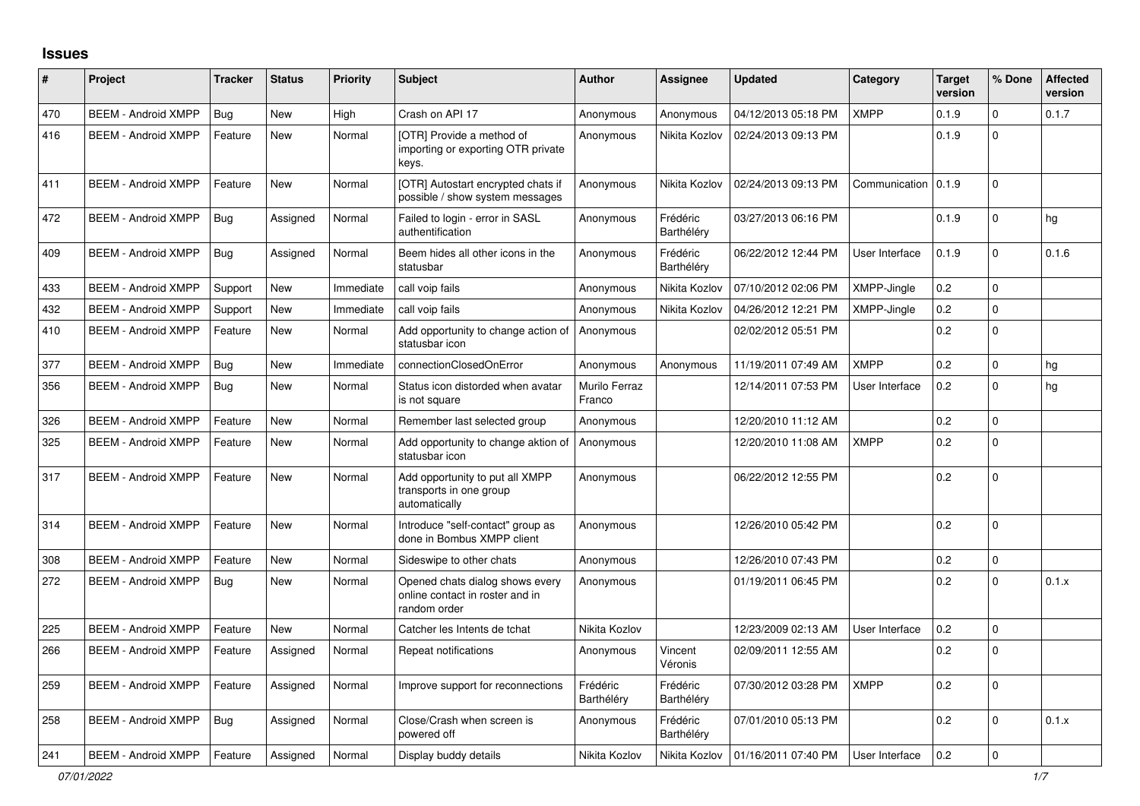## **Issues**

| #   | Project                    | <b>Tracker</b> | <b>Status</b> | Priority  | <b>Subject</b>                                                                     | <b>Author</b>           | Assignee               | <b>Updated</b>      | Category       | <b>Target</b><br>version | % Done       | <b>Affected</b><br>version |
|-----|----------------------------|----------------|---------------|-----------|------------------------------------------------------------------------------------|-------------------------|------------------------|---------------------|----------------|--------------------------|--------------|----------------------------|
| 470 | <b>BEEM - Android XMPP</b> | Bug            | <b>New</b>    | High      | Crash on API 17                                                                    | Anonymous               | Anonymous              | 04/12/2013 05:18 PM | <b>XMPP</b>    | 0.1.9                    | $\Omega$     | 0.1.7                      |
| 416 | <b>BEEM - Android XMPP</b> | Feature        | New           | Normal    | [OTR] Provide a method of<br>importing or exporting OTR private<br>kevs.           | Anonymous               | Nikita Kozlov          | 02/24/2013 09:13 PM |                | 0.1.9                    | $\Omega$     |                            |
| 411 | <b>BEEM - Android XMPP</b> | Feature        | <b>New</b>    | Normal    | [OTR] Autostart encrypted chats if<br>possible / show system messages              | Anonymous               | Nikita Kozlov          | 02/24/2013 09:13 PM | Communication  | 0.1.9                    | $\Omega$     |                            |
| 472 | <b>BEEM - Android XMPP</b> | Bug            | Assigned      | Normal    | Failed to login - error in SASL<br>authentification                                | Anonymous               | Frédéric<br>Barthéléry | 03/27/2013 06:16 PM |                | 0.1.9                    | $\Omega$     | hg                         |
| 409 | <b>BEEM - Android XMPP</b> | Bug            | Assigned      | Normal    | Beem hides all other icons in the<br>statusbar                                     | Anonymous               | Frédéric<br>Barthéléry | 06/22/2012 12:44 PM | User Interface | 0.1.9                    | $\Omega$     | 0.1.6                      |
| 433 | <b>BEEM - Android XMPP</b> | Support        | <b>New</b>    | Immediate | call voip fails                                                                    | Anonymous               | Nikita Kozlov          | 07/10/2012 02:06 PM | XMPP-Jingle    | 0.2                      | $\Omega$     |                            |
| 432 | <b>BEEM - Android XMPP</b> | Support        | <b>New</b>    | Immediate | call voip fails                                                                    | Anonymous               | Nikita Kozlov          | 04/26/2012 12:21 PM | XMPP-Jingle    | 0.2                      | $\mathsf 0$  |                            |
| 410 | <b>BEEM - Android XMPP</b> | Feature        | <b>New</b>    | Normal    | Add opportunity to change action of<br>statusbar icon                              | Anonymous               |                        | 02/02/2012 05:51 PM |                | 0.2                      | $\mathbf 0$  |                            |
| 377 | <b>BEEM - Android XMPP</b> | <b>Bug</b>     | <b>New</b>    | Immediate | connectionClosedOnError                                                            | Anonymous               | Anonymous              | 11/19/2011 07:49 AM | <b>XMPP</b>    | 0.2                      | $\Omega$     | hg                         |
| 356 | <b>BEEM - Android XMPP</b> | <b>Bug</b>     | New           | Normal    | Status icon distorded when avatar<br>is not square                                 | Murilo Ferraz<br>Franco |                        | 12/14/2011 07:53 PM | User Interface | 0.2                      | $\mathbf 0$  | hg                         |
| 326 | <b>BEEM - Android XMPP</b> | Feature        | <b>New</b>    | Normal    | Remember last selected group                                                       | Anonymous               |                        | 12/20/2010 11:12 AM |                | 0.2                      | $\Omega$     |                            |
| 325 | <b>BEEM - Android XMPP</b> | Feature        | <b>New</b>    | Normal    | Add opportunity to change aktion of<br>statusbar icon                              | Anonymous               |                        | 12/20/2010 11:08 AM | <b>XMPP</b>    | 0.2                      | $\mathbf 0$  |                            |
| 317 | <b>BEEM - Android XMPP</b> | Feature        | <b>New</b>    | Normal    | Add opportunity to put all XMPP<br>transports in one group<br>automatically        | Anonymous               |                        | 06/22/2012 12:55 PM |                | 0.2                      | $\Omega$     |                            |
| 314 | <b>BEEM - Android XMPP</b> | Feature        | <b>New</b>    | Normal    | Introduce "self-contact" group as<br>done in Bombus XMPP client                    | Anonymous               |                        | 12/26/2010 05:42 PM |                | 0.2                      | $\Omega$     |                            |
| 308 | <b>BEEM - Android XMPP</b> | Feature        | <b>New</b>    | Normal    | Sideswipe to other chats                                                           | Anonymous               |                        | 12/26/2010 07:43 PM |                | 0.2                      | $\mathsf 0$  |                            |
| 272 | <b>BEEM - Android XMPP</b> | <b>Bug</b>     | New           | Normal    | Opened chats dialog shows every<br>online contact in roster and in<br>random order | Anonymous               |                        | 01/19/2011 06:45 PM |                | 0.2                      | $\Omega$     | 0.1.x                      |
| 225 | <b>BEEM - Android XMPP</b> | Feature        | <b>New</b>    | Normal    | Catcher les Intents de tchat                                                       | Nikita Kozlov           |                        | 12/23/2009 02:13 AM | User Interface | 0.2                      | $\mathbf{0}$ |                            |
| 266 | <b>BEEM - Android XMPP</b> | Feature        | Assigned      | Normal    | Repeat notifications                                                               | Anonymous               | Vincent<br>Véronis     | 02/09/2011 12:55 AM |                | 0.2                      | $\Omega$     |                            |
| 259 | <b>BEEM - Android XMPP</b> | Feature        | Assigned      | Normal    | Improve support for reconnections                                                  | Frédéric<br>Barthéléry  | Frédéric<br>Barthéléry | 07/30/2012 03:28 PM | <b>XMPP</b>    | 0.2                      | $\Omega$     |                            |
| 258 | <b>BEEM - Android XMPP</b> | Bug            | Assigned      | Normal    | Close/Crash when screen is<br>powered off                                          | Anonymous               | Frédéric<br>Barthéléry | 07/01/2010 05:13 PM |                | 0.2                      | $\mathbf 0$  | 0.1.x                      |
| 241 | <b>BEEM - Android XMPP</b> | Feature        | Assigned      | Normal    | Display buddy details                                                              | Nikita Kozlov           | Nikita Kozlov          | 01/16/2011 07:40 PM | User Interface | 0.2                      | $\Omega$     |                            |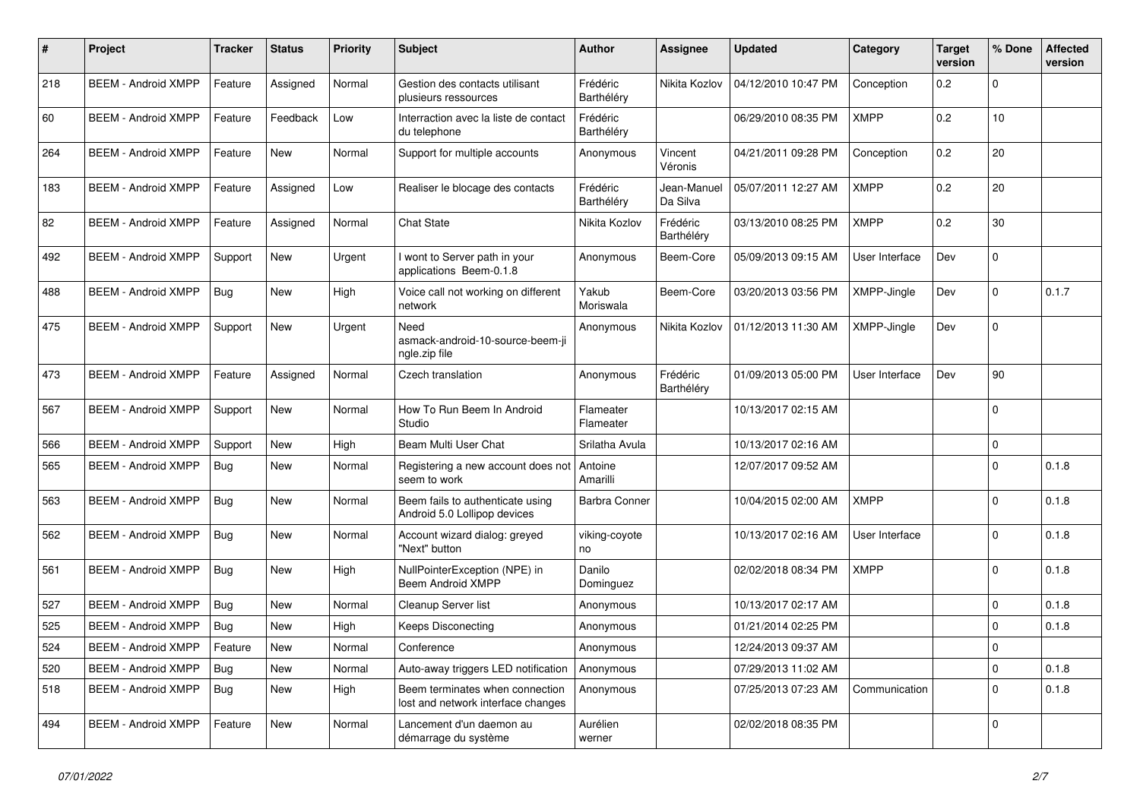| #   | Project                    | <b>Tracker</b> | <b>Status</b> | Priority | <b>Subject</b>                                                        | <b>Author</b>          | <b>Assignee</b>         | <b>Updated</b>      | Category       | <b>Target</b><br>version | % Done      | <b>Affected</b><br>version |
|-----|----------------------------|----------------|---------------|----------|-----------------------------------------------------------------------|------------------------|-------------------------|---------------------|----------------|--------------------------|-------------|----------------------------|
| 218 | <b>BEEM - Android XMPP</b> | Feature        | Assigned      | Normal   | Gestion des contacts utilisant<br>plusieurs ressources                | Frédéric<br>Barthéléry | Nikita Kozlov           | 04/12/2010 10:47 PM | Conception     | 0.2                      | $\Omega$    |                            |
| 60  | <b>BEEM - Android XMPP</b> | Feature        | Feedback      | Low      | Interraction avec la liste de contact<br>du telephone                 | Frédéric<br>Barthéléry |                         | 06/29/2010 08:35 PM | <b>XMPP</b>    | 0.2                      | 10          |                            |
| 264 | <b>BEEM - Android XMPP</b> | Feature        | New           | Normal   | Support for multiple accounts                                         | Anonymous              | Vincent<br>Véronis      | 04/21/2011 09:28 PM | Conception     | 0.2                      | 20          |                            |
| 183 | <b>BEEM - Android XMPP</b> | Feature        | Assigned      | Low      | Realiser le blocage des contacts                                      | Frédéric<br>Barthéléry | Jean-Manuel<br>Da Silva | 05/07/2011 12:27 AM | <b>XMPP</b>    | 0.2                      | 20          |                            |
| 82  | <b>BEEM - Android XMPP</b> | Feature        | Assigned      | Normal   | <b>Chat State</b>                                                     | Nikita Kozlov          | Frédéric<br>Barthéléry  | 03/13/2010 08:25 PM | XMPP           | 0.2                      | 30          |                            |
| 492 | <b>BEEM - Android XMPP</b> | Support        | New           | Urgent   | I wont to Server path in your<br>applications Beem-0.1.8              | Anonymous              | Beem-Core               | 05/09/2013 09:15 AM | User Interface | Dev                      | $\mathbf 0$ |                            |
| 488 | <b>BEEM - Android XMPP</b> | Bug            | New           | High     | Voice call not working on different<br>network                        | Yakub<br>Moriswala     | Beem-Core               | 03/20/2013 03:56 PM | XMPP-Jingle    | Dev                      | 0           | 0.1.7                      |
| 475 | <b>BEEM - Android XMPP</b> | Support        | New           | Urgent   | Need<br>asmack-android-10-source-beem-ji<br>ngle.zip file             | Anonymous              | Nikita Kozlov           | 01/12/2013 11:30 AM | XMPP-Jingle    | Dev                      | $\Omega$    |                            |
| 473 | <b>BEEM - Android XMPP</b> | Feature        | Assigned      | Normal   | Czech translation                                                     | Anonymous              | Frédéric<br>Barthéléry  | 01/09/2013 05:00 PM | User Interface | Dev                      | 90          |                            |
| 567 | <b>BEEM - Android XMPP</b> | Support        | New           | Normal   | How To Run Beem In Android<br>Studio                                  | Flameater<br>Flameater |                         | 10/13/2017 02:15 AM |                |                          | $\Omega$    |                            |
| 566 | <b>BEEM - Android XMPP</b> | Support        | New           | High     | Beam Multi User Chat                                                  | Srilatha Avula         |                         | 10/13/2017 02:16 AM |                |                          | $\mathbf 0$ |                            |
| 565 | <b>BEEM - Android XMPP</b> | Bug            | New           | Normal   | Registering a new account does not<br>seem to work                    | Antoine<br>Amarilli    |                         | 12/07/2017 09:52 AM |                |                          | $\Omega$    | 0.1.8                      |
| 563 | <b>BEEM - Android XMPP</b> | Bug            | <b>New</b>    | Normal   | Beem fails to authenticate using<br>Android 5.0 Lollipop devices      | <b>Barbra Conner</b>   |                         | 10/04/2015 02:00 AM | <b>XMPP</b>    |                          | $\Omega$    | 0.1.8                      |
| 562 | <b>BEEM - Android XMPP</b> | Bug            | <b>New</b>    | Normal   | Account wizard dialog: greyed<br>"Next" button                        | viking-coyote<br>no    |                         | 10/13/2017 02:16 AM | User Interface |                          | $\Omega$    | 0.1.8                      |
| 561 | <b>BEEM - Android XMPP</b> | Bug            | New           | High     | NullPointerException (NPE) in<br><b>Beem Android XMPP</b>             | Danilo<br>Dominguez    |                         | 02/02/2018 08:34 PM | XMPP           |                          | $\Omega$    | 0.1.8                      |
| 527 | <b>BEEM - Android XMPP</b> | Bug            | New           | Normal   | Cleanup Server list                                                   | Anonymous              |                         | 10/13/2017 02:17 AM |                |                          | $\Omega$    | 0.1.8                      |
| 525 | <b>BEEM - Android XMPP</b> | Bug            | New           | High     | <b>Keeps Disconecting</b>                                             | Anonymous              |                         | 01/21/2014 02:25 PM |                |                          | $\Omega$    | 0.1.8                      |
| 524 | <b>BEEM - Android XMPP</b> | Feature        | New           | Normal   | Conference                                                            | Anonymous              |                         | 12/24/2013 09:37 AM |                |                          | $\mathbf 0$ |                            |
| 520 | <b>BEEM - Android XMPP</b> | Bug            | New           | Normal   | Auto-away triggers LED notification                                   | Anonymous              |                         | 07/29/2013 11:02 AM |                |                          | $\mathbf 0$ | 0.1.8                      |
| 518 | <b>BEEM - Android XMPP</b> | Bug            | <b>New</b>    | High     | Beem terminates when connection<br>lost and network interface changes | Anonymous              |                         | 07/25/2013 07:23 AM | Communication  |                          | $\Omega$    | 0.1.8                      |
| 494 | <b>BEEM - Android XMPP</b> | Feature        | <b>New</b>    | Normal   | Lancement d'un daemon au<br>démarrage du système                      | Aurélien<br>werner     |                         | 02/02/2018 08:35 PM |                |                          | $\Omega$    |                            |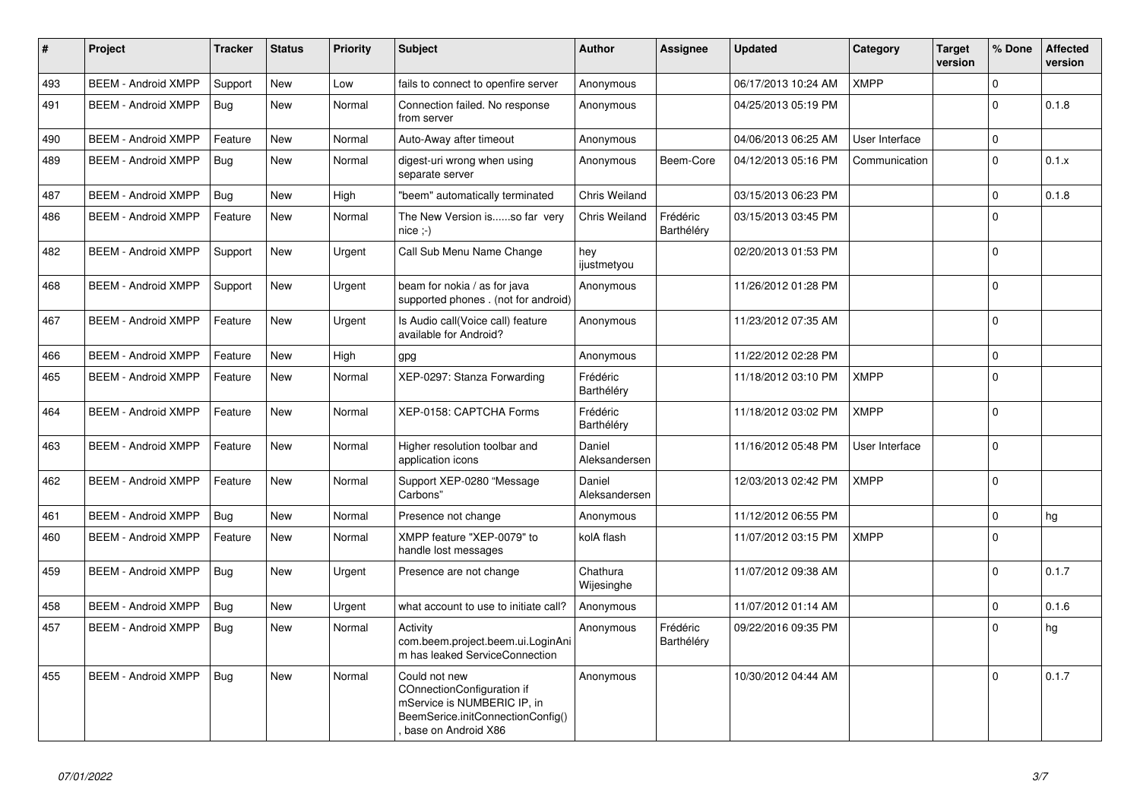| #   | Project                    | <b>Tracker</b> | <b>Status</b> | <b>Priority</b> | <b>Subject</b>                                                                                                                         | <b>Author</b>           | <b>Assignee</b>        | <b>Updated</b>      | Category       | Target<br>version | % Done      | <b>Affected</b><br>version |
|-----|----------------------------|----------------|---------------|-----------------|----------------------------------------------------------------------------------------------------------------------------------------|-------------------------|------------------------|---------------------|----------------|-------------------|-------------|----------------------------|
| 493 | <b>BEEM - Android XMPP</b> | Support        | <b>New</b>    | Low             | fails to connect to openfire server                                                                                                    | Anonymous               |                        | 06/17/2013 10:24 AM | <b>XMPP</b>    |                   | $\Omega$    |                            |
| 491 | <b>BEEM - Android XMPP</b> | Bug            | New           | Normal          | Connection failed. No response<br>from server                                                                                          | Anonymous               |                        | 04/25/2013 05:19 PM |                |                   | $\Omega$    | 0.1.8                      |
| 490 | <b>BEEM - Android XMPP</b> | Feature        | <b>New</b>    | Normal          | Auto-Away after timeout                                                                                                                | Anonymous               |                        | 04/06/2013 06:25 AM | User Interface |                   | $\Omega$    |                            |
| 489 | <b>BEEM - Android XMPP</b> | Bug            | <b>New</b>    | Normal          | digest-uri wrong when using<br>separate server                                                                                         | Anonymous               | Beem-Core              | 04/12/2013 05:16 PM | Communication  |                   | $\Omega$    | 0.1.x                      |
| 487 | <b>BEEM - Android XMPP</b> | Bug            | New           | High            | 'beem" automatically terminated                                                                                                        | <b>Chris Weiland</b>    |                        | 03/15/2013 06:23 PM |                |                   | $\Omega$    | 0.1.8                      |
| 486 | <b>BEEM - Android XMPP</b> | Feature        | New           | Normal          | The New Version isso far very<br>$nice; -)$                                                                                            | Chris Weiland           | Frédéric<br>Barthéléry | 03/15/2013 03:45 PM |                |                   | $\Omega$    |                            |
| 482 | <b>BEEM - Android XMPP</b> | Support        | New           | Urgent          | Call Sub Menu Name Change                                                                                                              | hey<br>ijustmetyou      |                        | 02/20/2013 01:53 PM |                |                   | $\Omega$    |                            |
| 468 | <b>BEEM - Android XMPP</b> | Support        | New           | Urgent          | beam for nokia / as for java<br>supported phones . (not for android)                                                                   | Anonymous               |                        | 11/26/2012 01:28 PM |                |                   | $\mathbf 0$ |                            |
| 467 | <b>BEEM - Android XMPP</b> | Feature        | New           | Urgent          | Is Audio call(Voice call) feature<br>available for Android?                                                                            | Anonymous               |                        | 11/23/2012 07:35 AM |                |                   | $\Omega$    |                            |
| 466 | <b>BEEM - Android XMPP</b> | Feature        | <b>New</b>    | High            | gpg                                                                                                                                    | Anonymous               |                        | 11/22/2012 02:28 PM |                |                   | $\mathbf 0$ |                            |
| 465 | <b>BEEM - Android XMPP</b> | Feature        | New           | Normal          | XEP-0297: Stanza Forwarding                                                                                                            | Frédéric<br>Barthéléry  |                        | 11/18/2012 03:10 PM | <b>XMPP</b>    |                   | $\Omega$    |                            |
| 464 | <b>BEEM - Android XMPP</b> | Feature        | <b>New</b>    | Normal          | XEP-0158: CAPTCHA Forms                                                                                                                | Frédéric<br>Barthéléry  |                        | 11/18/2012 03:02 PM | <b>XMPP</b>    |                   | $\mathbf 0$ |                            |
| 463 | <b>BEEM - Android XMPP</b> | Feature        | <b>New</b>    | Normal          | Higher resolution toolbar and<br>application icons                                                                                     | Daniel<br>Aleksandersen |                        | 11/16/2012 05:48 PM | User Interface |                   | $\Omega$    |                            |
| 462 | <b>BEEM - Android XMPP</b> | Feature        | New           | Normal          | Support XEP-0280 "Message<br>Carbons"                                                                                                  | Daniel<br>Aleksandersen |                        | 12/03/2013 02:42 PM | <b>XMPP</b>    |                   | $\Omega$    |                            |
| 461 | <b>BEEM - Android XMPP</b> | Bug            | New           | Normal          | Presence not change                                                                                                                    | Anonymous               |                        | 11/12/2012 06:55 PM |                |                   | $\Omega$    | hg                         |
| 460 | <b>BEEM - Android XMPP</b> | Feature        | New           | Normal          | XMPP feature "XEP-0079" to<br>handle lost messages                                                                                     | kolA flash              |                        | 11/07/2012 03:15 PM | <b>XMPP</b>    |                   | $\Omega$    |                            |
| 459 | <b>BEEM - Android XMPP</b> | Bug            | New           | Urgent          | Presence are not change                                                                                                                | Chathura<br>Wijesinghe  |                        | 11/07/2012 09:38 AM |                |                   | $\Omega$    | 0.1.7                      |
| 458 | <b>BEEM - Android XMPP</b> | Bug            | New           | Urgent          | what account to use to initiate call?                                                                                                  | Anonymous               |                        | 11/07/2012 01:14 AM |                |                   | $\mathbf 0$ | 0.1.6                      |
| 457 | <b>BEEM - Android XMPP</b> | Bug            | New           | Normal          | Activity<br>com.beem.project.beem.ui.LoginAni<br>m has leaked ServiceConnection                                                        | Anonymous               | Frédéric<br>Barthéléry | 09/22/2016 09:35 PM |                |                   | $\Omega$    | hg                         |
| 455 | <b>BEEM - Android XMPP</b> | Bug            | New           | Normal          | Could not new<br>COnnectionConfiguration if<br>mService is NUMBERIC IP, in<br>BeemSerice.initConnectionConfig()<br>base on Android X86 | Anonymous               |                        | 10/30/2012 04:44 AM |                |                   | $\Omega$    | 0.1.7                      |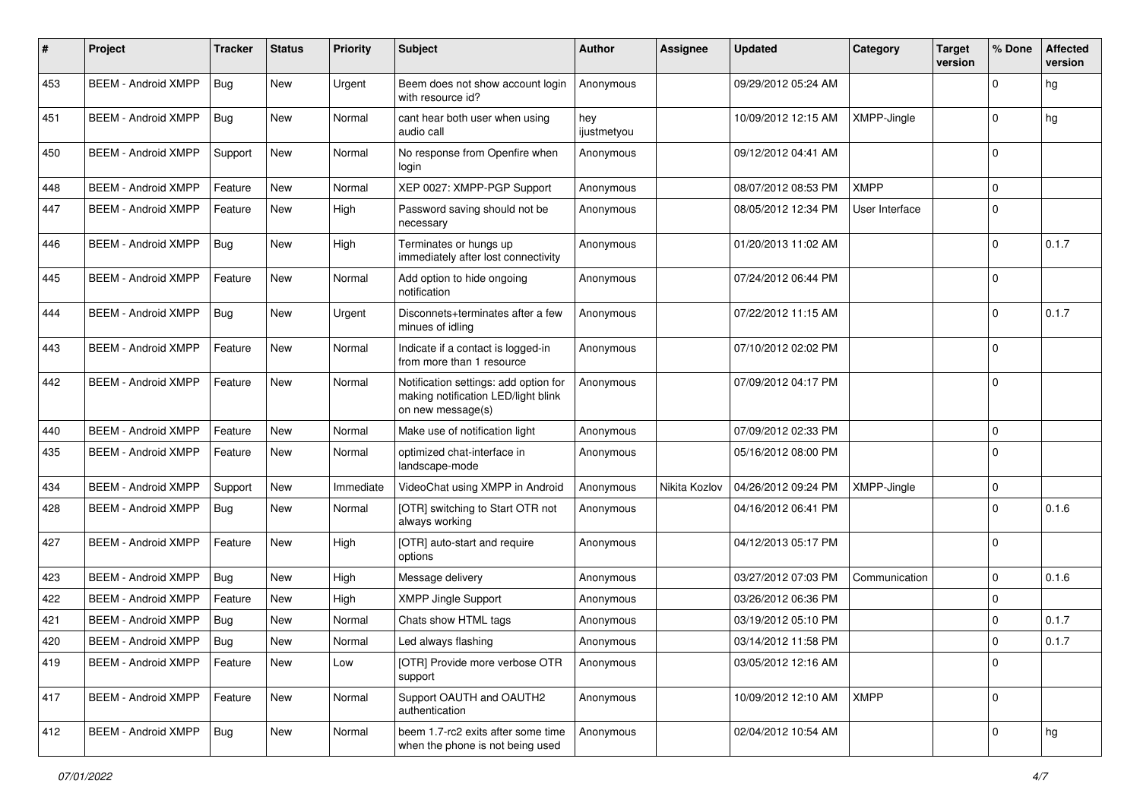| #   | Project                    | <b>Tracker</b> | <b>Status</b> | <b>Priority</b> | <b>Subject</b>                                                                                    | <b>Author</b>      | Assignee      | <b>Updated</b>      | Category       | <b>Target</b><br>version | % Done      | <b>Affected</b><br>version |
|-----|----------------------------|----------------|---------------|-----------------|---------------------------------------------------------------------------------------------------|--------------------|---------------|---------------------|----------------|--------------------------|-------------|----------------------------|
| 453 | <b>BEEM - Android XMPP</b> | Bug            | <b>New</b>    | Urgent          | Beem does not show account login<br>with resource id?                                             | Anonymous          |               | 09/29/2012 05:24 AM |                |                          | 0           | hg                         |
| 451 | <b>BEEM - Android XMPP</b> | Bug            | New           | Normal          | cant hear both user when using<br>audio call                                                      | hey<br>ijustmetyou |               | 10/09/2012 12:15 AM | XMPP-Jingle    |                          | 0           | hg                         |
| 450 | <b>BEEM - Android XMPP</b> | Support        | <b>New</b>    | Normal          | No response from Openfire when<br>login                                                           | Anonymous          |               | 09/12/2012 04:41 AM |                |                          | $\Omega$    |                            |
| 448 | <b>BEEM - Android XMPP</b> | Feature        | <b>New</b>    | Normal          | XEP 0027: XMPP-PGP Support                                                                        | Anonymous          |               | 08/07/2012 08:53 PM | <b>XMPP</b>    |                          | 0           |                            |
| 447 | <b>BEEM - Android XMPP</b> | Feature        | <b>New</b>    | High            | Password saving should not be<br>necessary                                                        | Anonymous          |               | 08/05/2012 12:34 PM | User Interface |                          | $\Omega$    |                            |
| 446 | <b>BEEM - Android XMPP</b> | Bug            | New           | High            | Terminates or hungs up<br>immediately after lost connectivity                                     | Anonymous          |               | 01/20/2013 11:02 AM |                |                          | $\Omega$    | 0.1.7                      |
| 445 | <b>BEEM - Android XMPP</b> | Feature        | <b>New</b>    | Normal          | Add option to hide ongoing<br>notification                                                        | Anonymous          |               | 07/24/2012 06:44 PM |                |                          | $\Omega$    |                            |
| 444 | <b>BEEM - Android XMPP</b> | Bug            | New           | Urgent          | Disconnets+terminates after a few<br>minues of idling                                             | Anonymous          |               | 07/22/2012 11:15 AM |                |                          | $\Omega$    | 0.1.7                      |
| 443 | <b>BEEM - Android XMPP</b> | Feature        | <b>New</b>    | Normal          | Indicate if a contact is logged-in<br>from more than 1 resource                                   | Anonymous          |               | 07/10/2012 02:02 PM |                |                          | $\Omega$    |                            |
| 442 | <b>BEEM - Android XMPP</b> | Feature        | <b>New</b>    | Normal          | Notification settings: add option for<br>making notification LED/light blink<br>on new message(s) | Anonymous          |               | 07/09/2012 04:17 PM |                |                          | $\Omega$    |                            |
| 440 | <b>BEEM - Android XMPP</b> | Feature        | New           | Normal          | Make use of notification light                                                                    | Anonymous          |               | 07/09/2012 02:33 PM |                |                          | $\mathbf 0$ |                            |
| 435 | <b>BEEM - Android XMPP</b> | Feature        | <b>New</b>    | Normal          | optimized chat-interface in<br>landscape-mode                                                     | Anonymous          |               | 05/16/2012 08:00 PM |                |                          | $\Omega$    |                            |
| 434 | <b>BEEM - Android XMPP</b> | Support        | <b>New</b>    | Immediate       | VideoChat using XMPP in Android                                                                   | Anonymous          | Nikita Kozlov | 04/26/2012 09:24 PM | XMPP-Jingle    |                          | 0           |                            |
| 428 | <b>BEEM - Android XMPP</b> | <b>Bug</b>     | New           | Normal          | [OTR] switching to Start OTR not<br>always working                                                | Anonymous          |               | 04/16/2012 06:41 PM |                |                          | $\Omega$    | 0.1.6                      |
| 427 | <b>BEEM - Android XMPP</b> | Feature        | <b>New</b>    | High            | [OTR] auto-start and require<br>options                                                           | Anonymous          |               | 04/12/2013 05:17 PM |                |                          | $\Omega$    |                            |
| 423 | <b>BEEM - Android XMPP</b> | Bug            | <b>New</b>    | High            | Message delivery                                                                                  | Anonymous          |               | 03/27/2012 07:03 PM | Communication  |                          | 0           | 0.1.6                      |
| 422 | <b>BEEM - Android XMPP</b> | Feature        | <b>New</b>    | High            | <b>XMPP Jingle Support</b>                                                                        | Anonymous          |               | 03/26/2012 06:36 PM |                |                          | $\Omega$    |                            |
| 421 | <b>BEEM - Android XMPP</b> | Bug            | New           | Normal          | Chats show HTML tags                                                                              | Anonymous          |               | 03/19/2012 05:10 PM |                |                          | 0           | 0.1.7                      |
| 420 | <b>BEEM - Android XMPP</b> | <b>Bug</b>     | <b>New</b>    | Normal          | Led always flashing                                                                               | Anonymous          |               | 03/14/2012 11:58 PM |                |                          | $\Omega$    | 0.1.7                      |
| 419 | <b>BEEM - Android XMPP</b> | Feature        | New           | Low             | [OTR] Provide more verbose OTR<br>support                                                         | Anonymous          |               | 03/05/2012 12:16 AM |                |                          | $\Omega$    |                            |
| 417 | <b>BEEM - Android XMPP</b> | Feature        | New           | Normal          | Support OAUTH and OAUTH2<br>authentication                                                        | Anonymous          |               | 10/09/2012 12:10 AM | <b>XMPP</b>    |                          | $\mathbf 0$ |                            |
| 412 | <b>BEEM - Android XMPP</b> | Bug            | New           | Normal          | beem 1.7-rc2 exits after some time<br>when the phone is not being used                            | Anonymous          |               | 02/04/2012 10:54 AM |                |                          | 0           | hg                         |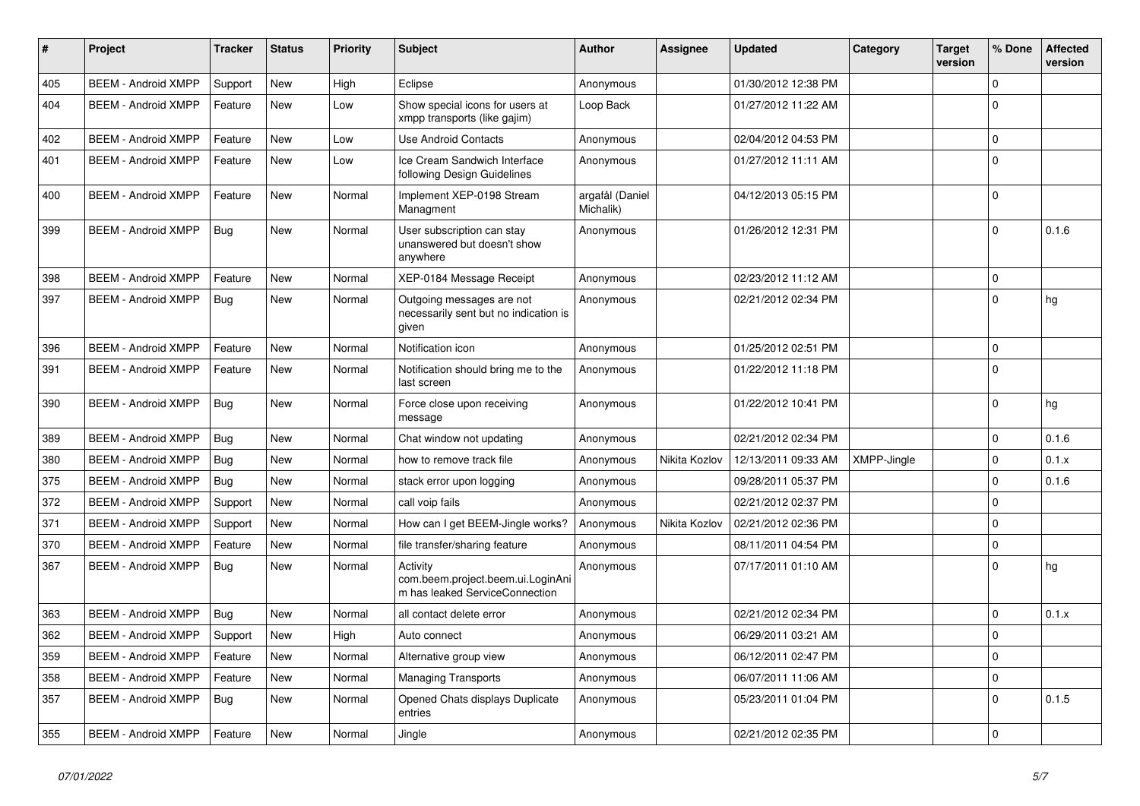| #   | Project                    | <b>Tracker</b> | <b>Status</b> | <b>Priority</b> | <b>Subject</b>                                                                  | Author                       | <b>Assignee</b> | <b>Updated</b>      | Category    | <b>Target</b><br>version | % Done      | <b>Affected</b><br>version |
|-----|----------------------------|----------------|---------------|-----------------|---------------------------------------------------------------------------------|------------------------------|-----------------|---------------------|-------------|--------------------------|-------------|----------------------------|
| 405 | <b>BEEM - Android XMPP</b> | Support        | <b>New</b>    | High            | Eclipse                                                                         | Anonymous                    |                 | 01/30/2012 12:38 PM |             |                          | $\mathbf 0$ |                            |
| 404 | <b>BEEM - Android XMPP</b> | Feature        | New           | Low             | Show special icons for users at<br>xmpp transports (like gajim)                 | Loop Back                    |                 | 01/27/2012 11:22 AM |             |                          | $\Omega$    |                            |
| 402 | <b>BEEM - Android XMPP</b> | Feature        | <b>New</b>    | Low             | <b>Use Android Contacts</b>                                                     | Anonymous                    |                 | 02/04/2012 04:53 PM |             |                          | $\Omega$    |                            |
| 401 | <b>BEEM - Android XMPP</b> | Feature        | New           | Low             | Ice Cream Sandwich Interface<br>following Design Guidelines                     | Anonymous                    |                 | 01/27/2012 11:11 AM |             |                          | $\Omega$    |                            |
| 400 | <b>BEEM - Android XMPP</b> | Feature        | <b>New</b>    | Normal          | Implement XEP-0198 Stream<br>Managment                                          | argafål (Daniel<br>Michalik) |                 | 04/12/2013 05:15 PM |             |                          | $\Omega$    |                            |
| 399 | <b>BEEM - Android XMPP</b> | Bug            | New           | Normal          | User subscription can stay<br>unanswered but doesn't show<br>anvwhere           | Anonymous                    |                 | 01/26/2012 12:31 PM |             |                          | $\Omega$    | 0.1.6                      |
| 398 | <b>BEEM - Android XMPP</b> | Feature        | <b>New</b>    | Normal          | XEP-0184 Message Receipt                                                        | Anonymous                    |                 | 02/23/2012 11:12 AM |             |                          | $\Omega$    |                            |
| 397 | <b>BEEM - Android XMPP</b> | Bug            | <b>New</b>    | Normal          | Outgoing messages are not<br>necessarily sent but no indication is<br>given     | Anonymous                    |                 | 02/21/2012 02:34 PM |             |                          | $\Omega$    | hg                         |
| 396 | <b>BEEM - Android XMPP</b> | Feature        | <b>New</b>    | Normal          | Notification icon                                                               | Anonymous                    |                 | 01/25/2012 02:51 PM |             |                          | $\Omega$    |                            |
| 391 | <b>BEEM - Android XMPP</b> | Feature        | New           | Normal          | Notification should bring me to the<br>last screen                              | Anonymous                    |                 | 01/22/2012 11:18 PM |             |                          | $\Omega$    |                            |
| 390 | <b>BEEM - Android XMPP</b> | Bug            | <b>New</b>    | Normal          | Force close upon receiving<br>message                                           | Anonymous                    |                 | 01/22/2012 10:41 PM |             |                          | $\Omega$    | hg                         |
| 389 | <b>BEEM - Android XMPP</b> | Bug            | <b>New</b>    | Normal          | Chat window not updating                                                        | Anonymous                    |                 | 02/21/2012 02:34 PM |             |                          | $\Omega$    | 0.1.6                      |
| 380 | <b>BEEM - Android XMPP</b> | Bug            | <b>New</b>    | Normal          | how to remove track file                                                        | Anonymous                    | Nikita Kozlov   | 12/13/2011 09:33 AM | XMPP-Jingle |                          | $\mathbf 0$ | 0.1.x                      |
| 375 | <b>BEEM - Android XMPP</b> | <b>Bug</b>     | <b>New</b>    | Normal          | stack error upon logging                                                        | Anonymous                    |                 | 09/28/2011 05:37 PM |             |                          | $\mathbf 0$ | 0.1.6                      |
| 372 | <b>BEEM - Android XMPP</b> | Support        | New           | Normal          | call voip fails                                                                 | Anonymous                    |                 | 02/21/2012 02:37 PM |             |                          | $\mathbf 0$ |                            |
| 371 | <b>BEEM - Android XMPP</b> | Support        | <b>New</b>    | Normal          | How can I get BEEM-Jingle works?                                                | Anonymous                    | Nikita Kozlov   | 02/21/2012 02:36 PM |             |                          | $\Omega$    |                            |
| 370 | <b>BEEM - Android XMPP</b> | Feature        | <b>New</b>    | Normal          | file transfer/sharing feature                                                   | Anonymous                    |                 | 08/11/2011 04:54 PM |             |                          | $\Omega$    |                            |
| 367 | <b>BEEM - Android XMPP</b> | Bug            | <b>New</b>    | Normal          | Activity<br>com.beem.project.beem.ui.LoginAni<br>m has leaked ServiceConnection | Anonymous                    |                 | 07/17/2011 01:10 AM |             |                          | $\Omega$    | hg                         |
| 363 | <b>BEEM - Android XMPP</b> | Bug            | <b>New</b>    | Normal          | all contact delete error                                                        | Anonymous                    |                 | 02/21/2012 02:34 PM |             |                          | $\Omega$    | 0.1.x                      |
| 362 | <b>BEEM - Android XMPP</b> | Support        | New           | High            | Auto connect                                                                    | Anonymous                    |                 | 06/29/2011 03:21 AM |             |                          | $\Omega$    |                            |
| 359 | <b>BEEM - Android XMPP</b> | Feature        | New           | Normal          | Alternative group view                                                          | Anonymous                    |                 | 06/12/2011 02:47 PM |             |                          | $\mathbf 0$ |                            |
| 358 | <b>BEEM - Android XMPP</b> | Feature        | New           | Normal          | <b>Managing Transports</b>                                                      | Anonymous                    |                 | 06/07/2011 11:06 AM |             |                          | $\mathbf 0$ |                            |
| 357 | <b>BEEM - Android XMPP</b> | Bug            | New           | Normal          | Opened Chats displays Duplicate<br>entries                                      | Anonymous                    |                 | 05/23/2011 01:04 PM |             |                          | $\mathbf 0$ | 0.1.5                      |
| 355 | <b>BEEM - Android XMPP</b> | Feature        | <b>New</b>    | Normal          | Jingle                                                                          | Anonymous                    |                 | 02/21/2012 02:35 PM |             |                          | $\Omega$    |                            |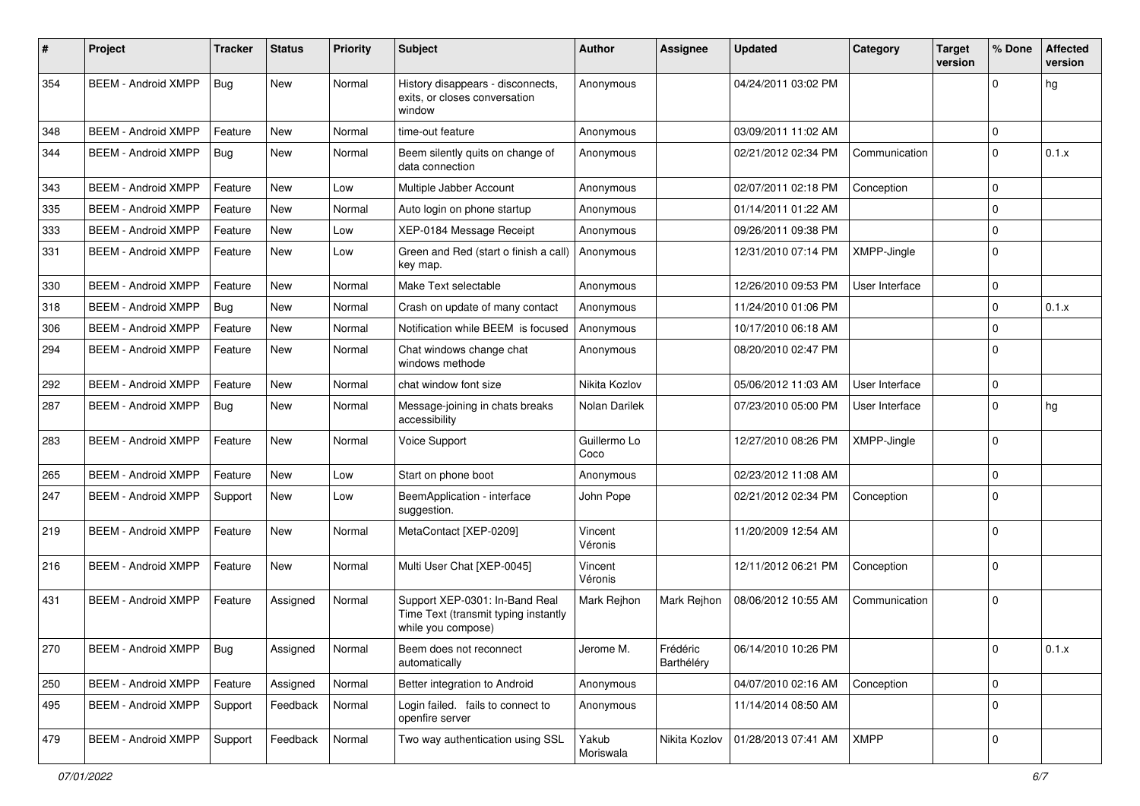| #   | Project                    | <b>Tracker</b> | <b>Status</b> | <b>Priority</b> | <b>Subject</b>                                                                               | <b>Author</b>        | Assignee               | <b>Updated</b>      | Category       | <b>Target</b><br>version | % Done      | <b>Affected</b><br>version |
|-----|----------------------------|----------------|---------------|-----------------|----------------------------------------------------------------------------------------------|----------------------|------------------------|---------------------|----------------|--------------------------|-------------|----------------------------|
| 354 | <b>BEEM - Android XMPP</b> | Bug            | <b>New</b>    | Normal          | History disappears - disconnects,<br>exits, or closes conversation<br>window                 | Anonymous            |                        | 04/24/2011 03:02 PM |                |                          | 0           | hg                         |
| 348 | <b>BEEM - Android XMPP</b> | Feature        | New           | Normal          | time-out feature                                                                             | Anonymous            |                        | 03/09/2011 11:02 AM |                |                          | $\mathbf 0$ |                            |
| 344 | <b>BEEM - Android XMPP</b> | Bug            | New           | Normal          | Beem silently quits on change of<br>data connection                                          | Anonymous            |                        | 02/21/2012 02:34 PM | Communication  |                          | $\Omega$    | 0.1.x                      |
| 343 | <b>BEEM - Android XMPP</b> | Feature        | <b>New</b>    | Low             | Multiple Jabber Account                                                                      | Anonymous            |                        | 02/07/2011 02:18 PM | Conception     |                          | $\mathbf 0$ |                            |
| 335 | <b>BEEM - Android XMPP</b> | Feature        | <b>New</b>    | Normal          | Auto login on phone startup                                                                  | Anonymous            |                        | 01/14/2011 01:22 AM |                |                          | $\Omega$    |                            |
| 333 | <b>BEEM - Android XMPP</b> | Feature        | <b>New</b>    | Low             | XEP-0184 Message Receipt                                                                     | Anonymous            |                        | 09/26/2011 09:38 PM |                |                          | $\Omega$    |                            |
| 331 | <b>BEEM - Android XMPP</b> | Feature        | New           | Low             | Green and Red (start o finish a call)<br>key map.                                            | Anonymous            |                        | 12/31/2010 07:14 PM | XMPP-Jingle    |                          | $\mathbf 0$ |                            |
| 330 | <b>BEEM - Android XMPP</b> | Feature        | New           | Normal          | Make Text selectable                                                                         | Anonymous            |                        | 12/26/2010 09:53 PM | User Interface |                          | $\mathbf 0$ |                            |
| 318 | <b>BEEM - Android XMPP</b> | Bug            | <b>New</b>    | Normal          | Crash on update of many contact                                                              | Anonymous            |                        | 11/24/2010 01:06 PM |                |                          | $\Omega$    | 0.1.x                      |
| 306 | <b>BEEM - Android XMPP</b> | Feature        | <b>New</b>    | Normal          | Notification while BEEM is focused                                                           | Anonymous            |                        | 10/17/2010 06:18 AM |                |                          | $\Omega$    |                            |
| 294 | <b>BEEM - Android XMPP</b> | Feature        | <b>New</b>    | Normal          | Chat windows change chat<br>windows methode                                                  | Anonymous            |                        | 08/20/2010 02:47 PM |                |                          | $\Omega$    |                            |
| 292 | <b>BEEM - Android XMPP</b> | Feature        | <b>New</b>    | Normal          | chat window font size                                                                        | Nikita Kozlov        |                        | 05/06/2012 11:03 AM | User Interface |                          | $\Omega$    |                            |
| 287 | <b>BEEM - Android XMPP</b> | Bug            | <b>New</b>    | Normal          | Message-joining in chats breaks<br>accessibility                                             | Nolan Darilek        |                        | 07/23/2010 05:00 PM | User Interface |                          | $\Omega$    | hg                         |
| 283 | <b>BEEM - Android XMPP</b> | Feature        | <b>New</b>    | Normal          | Voice Support                                                                                | Guillermo Lo<br>Coco |                        | 12/27/2010 08:26 PM | XMPP-Jingle    |                          | $\Omega$    |                            |
| 265 | <b>BEEM - Android XMPP</b> | Feature        | <b>New</b>    | Low             | Start on phone boot                                                                          | Anonymous            |                        | 02/23/2012 11:08 AM |                |                          | $\mathbf 0$ |                            |
| 247 | <b>BEEM - Android XMPP</b> | Support        | New           | Low             | BeemApplication - interface<br>suggestion.                                                   | John Pope            |                        | 02/21/2012 02:34 PM | Conception     |                          | $\Omega$    |                            |
| 219 | <b>BEEM - Android XMPP</b> | Feature        | <b>New</b>    | Normal          | MetaContact [XEP-0209]                                                                       | Vincent<br>Véronis   |                        | 11/20/2009 12:54 AM |                |                          | $\Omega$    |                            |
| 216 | <b>BEEM - Android XMPP</b> | Feature        | <b>New</b>    | Normal          | Multi User Chat [XEP-0045]                                                                   | Vincent<br>Véronis   |                        | 12/11/2012 06:21 PM | Conception     |                          | $\Omega$    |                            |
| 431 | <b>BEEM - Android XMPP</b> | Feature        | Assigned      | Normal          | Support XEP-0301: In-Band Real<br>Time Text (transmit typing instantly<br>while you compose) | Mark Rejhon          | Mark Rejhon            | 08/06/2012 10:55 AM | Communication  |                          | $\mathbf 0$ |                            |
| 270 | <b>BEEM - Android XMPP</b> | Bug            | Assigned      | Normal          | Beem does not reconnect<br>automatically                                                     | Jerome M.            | Frédéric<br>Barthéléry | 06/14/2010 10:26 PM |                |                          | $\mathbf 0$ | 0.1.x                      |
| 250 | <b>BEEM - Android XMPP</b> | Feature        | Assigned      | Normal          | Better integration to Android                                                                | Anonymous            |                        | 04/07/2010 02:16 AM | Conception     |                          | $\mathbf 0$ |                            |
| 495 | <b>BEEM - Android XMPP</b> | Support        | Feedback      | Normal          | Login failed. fails to connect to<br>openfire server                                         | Anonymous            |                        | 11/14/2014 08:50 AM |                |                          | $\mathbf 0$ |                            |
| 479 | <b>BEEM - Android XMPP</b> | Support        | Feedback      | Normal          | Two way authentication using SSL                                                             | Yakub<br>Moriswala   | Nikita Kozlov          | 01/28/2013 07:41 AM | <b>XMPP</b>    |                          | $\mathbf 0$ |                            |